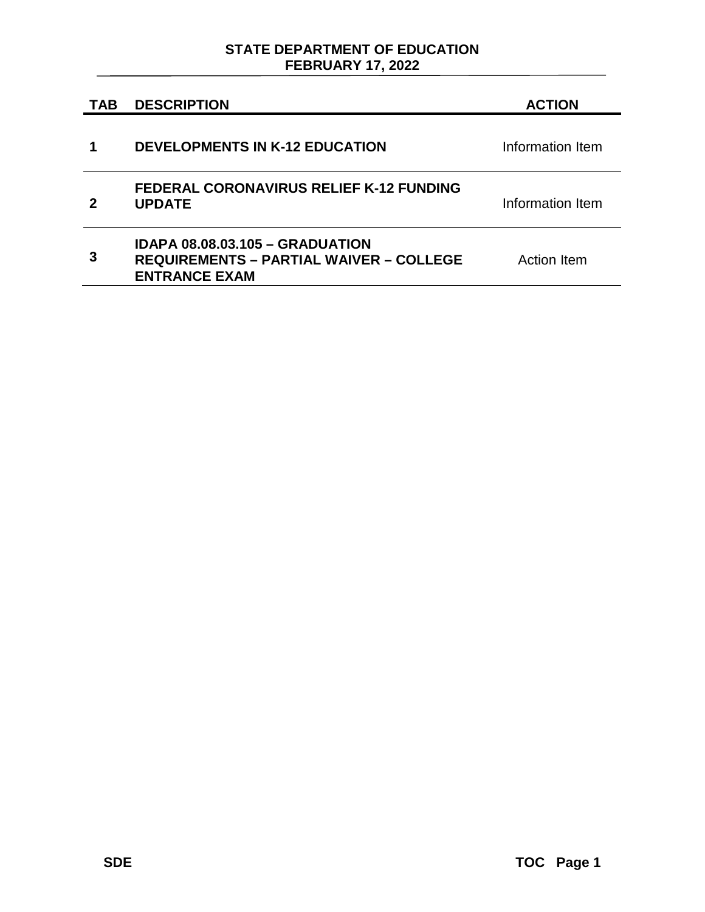## **STATE DEPARTMENT OF EDUCATION FEBRUARY 17, 2022**

| <b>TAB</b> | <b>DESCRIPTION</b>                                                                                        | <b>ACTION</b>      |
|------------|-----------------------------------------------------------------------------------------------------------|--------------------|
|            | <b>DEVELOPMENTS IN K-12 EDUCATION</b>                                                                     | Information Item   |
|            | <b>FEDERAL CORONAVIRUS RELIEF K-12 FUNDING</b><br><b>UPDATE</b>                                           | Information Item   |
| З          | IDAPA 08.08.03.105 - GRADUATION<br><b>REQUIREMENTS - PARTIAL WAIVER - COLLEGE</b><br><b>ENTRANCE EXAM</b> | <b>Action Item</b> |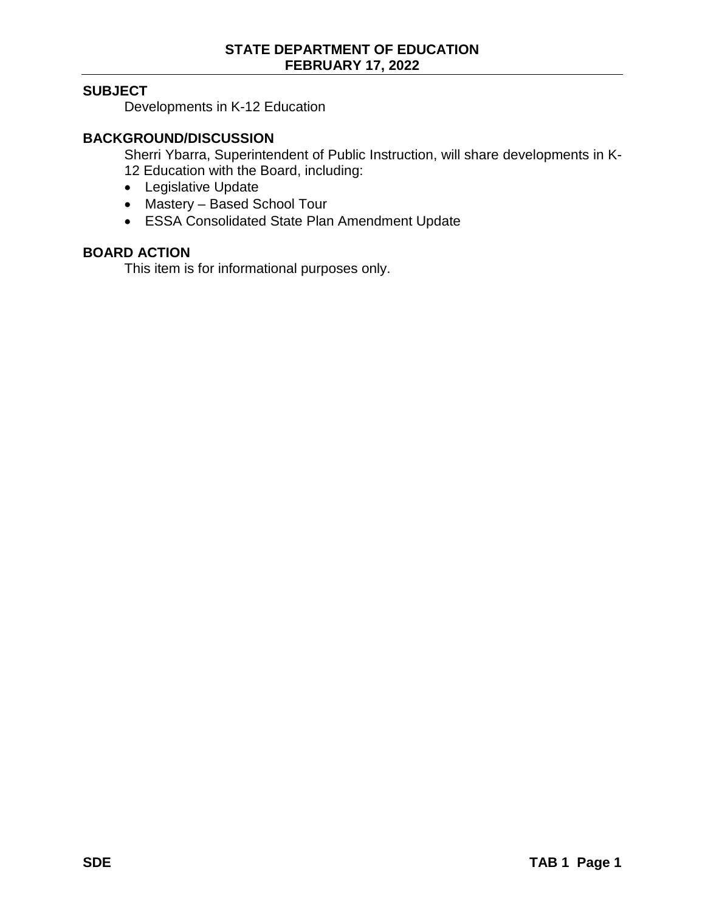## **SUBJECT**

Developments in K-12 Education

### **BACKGROUND/DISCUSSION**

Sherri Ybarra, Superintendent of Public Instruction, will share developments in K-12 Education with the Board, including:

- Legislative Update
- Mastery Based School Tour
- ESSA Consolidated State Plan Amendment Update

### **BOARD ACTION**

This item is for informational purposes only.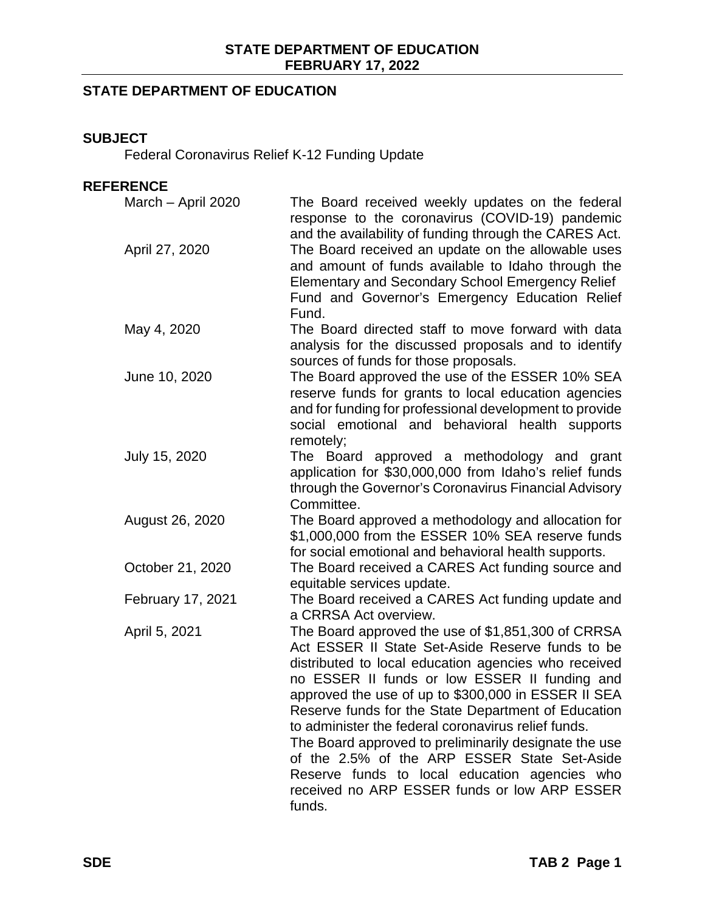# **STATE DEPARTMENT OF EDUCATION**

### **SUBJECT**

Federal Coronavirus Relief K-12 Funding Update

# **REFERENCE**

| March - April 2020 | The Board received weekly updates on the federal<br>response to the coronavirus (COVID-19) pandemic<br>and the availability of funding through the CARES Act.                                                                                                                                                                                                                                                                                                                                                                                                                                            |
|--------------------|----------------------------------------------------------------------------------------------------------------------------------------------------------------------------------------------------------------------------------------------------------------------------------------------------------------------------------------------------------------------------------------------------------------------------------------------------------------------------------------------------------------------------------------------------------------------------------------------------------|
| April 27, 2020     | The Board received an update on the allowable uses<br>and amount of funds available to Idaho through the<br><b>Elementary and Secondary School Emergency Relief</b><br>Fund and Governor's Emergency Education Relief<br>Fund.                                                                                                                                                                                                                                                                                                                                                                           |
| May 4, 2020        | The Board directed staff to move forward with data<br>analysis for the discussed proposals and to identify<br>sources of funds for those proposals.                                                                                                                                                                                                                                                                                                                                                                                                                                                      |
| June 10, 2020      | The Board approved the use of the ESSER 10% SEA<br>reserve funds for grants to local education agencies<br>and for funding for professional development to provide<br>social emotional and behavioral health supports<br>remotely;                                                                                                                                                                                                                                                                                                                                                                       |
| July 15, 2020      | The Board approved a methodology and grant<br>application for \$30,000,000 from Idaho's relief funds<br>through the Governor's Coronavirus Financial Advisory<br>Committee.                                                                                                                                                                                                                                                                                                                                                                                                                              |
| August 26, 2020    | The Board approved a methodology and allocation for<br>\$1,000,000 from the ESSER 10% SEA reserve funds<br>for social emotional and behavioral health supports.                                                                                                                                                                                                                                                                                                                                                                                                                                          |
| October 21, 2020   | The Board received a CARES Act funding source and<br>equitable services update.                                                                                                                                                                                                                                                                                                                                                                                                                                                                                                                          |
| February 17, 2021  | The Board received a CARES Act funding update and<br>a CRRSA Act overview.                                                                                                                                                                                                                                                                                                                                                                                                                                                                                                                               |
| April 5, 2021      | The Board approved the use of \$1,851,300 of CRRSA<br>Act ESSER II State Set-Aside Reserve funds to be<br>distributed to local education agencies who received<br>no ESSER II funds or low ESSER II funding and<br>approved the use of up to \$300,000 in ESSER II SEA<br>Reserve funds for the State Department of Education<br>to administer the federal coronavirus relief funds.<br>The Board approved to preliminarily designate the use<br>of the 2.5% of the ARP ESSER State Set-Aside<br>Reserve funds to local education agencies who<br>received no ARP ESSER funds or low ARP ESSER<br>funds. |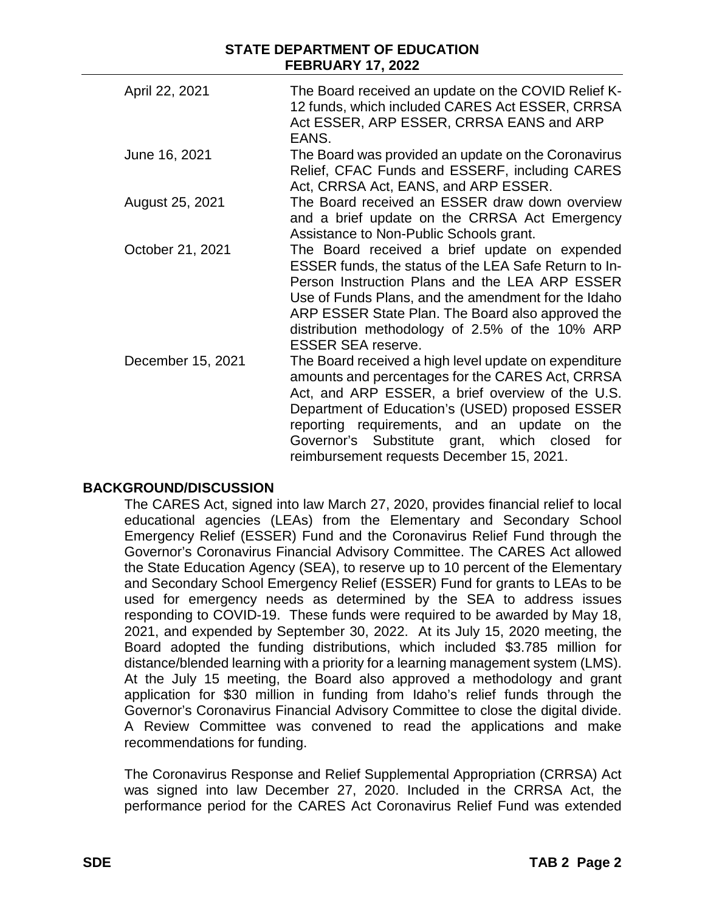| April 22, 2021    | The Board received an update on the COVID Relief K-<br>12 funds, which included CARES Act ESSER, CRRSA<br>Act ESSER, ARP ESSER, CRRSA EANS and ARP<br>EANS.                                                                                                                                                                                          |
|-------------------|------------------------------------------------------------------------------------------------------------------------------------------------------------------------------------------------------------------------------------------------------------------------------------------------------------------------------------------------------|
| June 16, 2021     | The Board was provided an update on the Coronavirus<br>Relief, CFAC Funds and ESSERF, including CARES<br>Act, CRRSA Act, EANS, and ARP ESSER.                                                                                                                                                                                                        |
| August 25, 2021   | The Board received an ESSER draw down overview<br>and a brief update on the CRRSA Act Emergency<br>Assistance to Non-Public Schools grant.                                                                                                                                                                                                           |
| October 21, 2021  | The Board received a brief update on expended<br>ESSER funds, the status of the LEA Safe Return to In-<br>Person Instruction Plans and the LEA ARP ESSER<br>Use of Funds Plans, and the amendment for the Idaho<br>ARP ESSER State Plan. The Board also approved the<br>distribution methodology of 2.5% of the 10% ARP<br><b>ESSER SEA reserve.</b> |
| December 15, 2021 | The Board received a high level update on expenditure<br>amounts and percentages for the CARES Act, CRRSA<br>Act, and ARP ESSER, a brief overview of the U.S.<br>Department of Education's (USED) proposed ESSER<br>reporting requirements, and an update on<br>the<br>Governor's Substitute grant, which closed<br>for                              |

### **BACKGROUND/DISCUSSION**

The CARES Act, signed into law March 27, 2020, provides financial relief to local educational agencies (LEAs) from the Elementary and Secondary School Emergency Relief (ESSER) Fund and the Coronavirus Relief Fund through the Governor's Coronavirus Financial Advisory Committee. The CARES Act allowed the State Education Agency (SEA), to reserve up to 10 percent of the Elementary and Secondary School Emergency Relief (ESSER) Fund for grants to LEAs to be used for emergency needs as determined by the SEA to address issues responding to COVID-19. These funds were required to be awarded by May 18, 2021, and expended by September 30, 2022. At its July 15, 2020 meeting, the Board adopted the funding distributions, which included \$3.785 million for distance/blended learning with a priority for a learning management system (LMS). At the July 15 meeting, the Board also approved a methodology and grant application for \$30 million in funding from Idaho's relief funds through the Governor's Coronavirus Financial Advisory Committee to close the digital divide. A Review Committee was convened to read the applications and make recommendations for funding.

reimbursement requests December 15, 2021.

The Coronavirus Response and Relief Supplemental Appropriation (CRRSA) Act was signed into law December 27, 2020. Included in the CRRSA Act, the performance period for the CARES Act Coronavirus Relief Fund was extended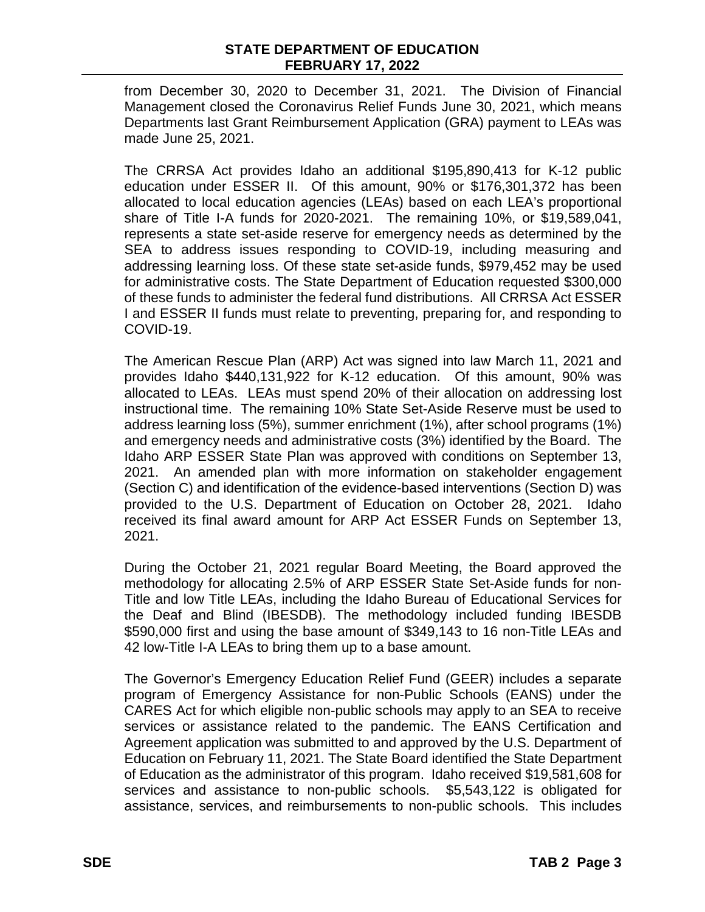from December 30, 2020 to December 31, 2021. The Division of Financial Management closed the Coronavirus Relief Funds June 30, 2021, which means Departments last Grant Reimbursement Application (GRA) payment to LEAs was made June 25, 2021.

The CRRSA Act provides Idaho an additional \$195,890,413 for K-12 public education under ESSER II. Of this amount, 90% or \$176,301,372 has been allocated to local education agencies (LEAs) based on each LEA's proportional share of Title I-A funds for 2020-2021. The remaining 10%, or \$19,589,041, represents a state set-aside reserve for emergency needs as determined by the SEA to address issues responding to COVID-19, including measuring and addressing learning loss. Of these state set-aside funds, \$979,452 may be used for administrative costs. The State Department of Education requested \$300,000 of these funds to administer the federal fund distributions. All CRRSA Act ESSER I and ESSER II funds must relate to preventing, preparing for, and responding to COVID-19.

The American Rescue Plan (ARP) Act was signed into law March 11, 2021 and provides Idaho \$440,131,922 for K-12 education. Of this amount, 90% was allocated to LEAs. LEAs must spend 20% of their allocation on addressing lost instructional time. The remaining 10% State Set-Aside Reserve must be used to address learning loss (5%), summer enrichment (1%), after school programs (1%) and emergency needs and administrative costs (3%) identified by the Board. The Idaho ARP ESSER State Plan was approved with conditions on September 13, 2021. An amended plan with more information on stakeholder engagement (Section C) and identification of the evidence-based interventions (Section D) was provided to the U.S. Department of Education on October 28, 2021. Idaho received its final award amount for ARP Act ESSER Funds on September 13, 2021.

During the October 21, 2021 regular Board Meeting, the Board approved the methodology for allocating 2.5% of ARP ESSER State Set-Aside funds for non-Title and low Title LEAs, including the Idaho Bureau of Educational Services for the Deaf and Blind (IBESDB). The methodology included funding IBESDB \$590,000 first and using the base amount of \$349,143 to 16 non-Title LEAs and 42 low-Title I-A LEAs to bring them up to a base amount.

The Governor's Emergency Education Relief Fund (GEER) includes a separate program of Emergency Assistance for non-Public Schools (EANS) under the CARES Act for which eligible non-public schools may apply to an SEA to receive services or assistance related to the pandemic. The EANS Certification and Agreement application was submitted to and approved by the U.S. Department of Education on February 11, 2021. The State Board identified the State Department of Education as the administrator of this program. Idaho received \$19,581,608 for services and assistance to non-public schools. \$5,543,122 is obligated for assistance, services, and reimbursements to non-public schools. This includes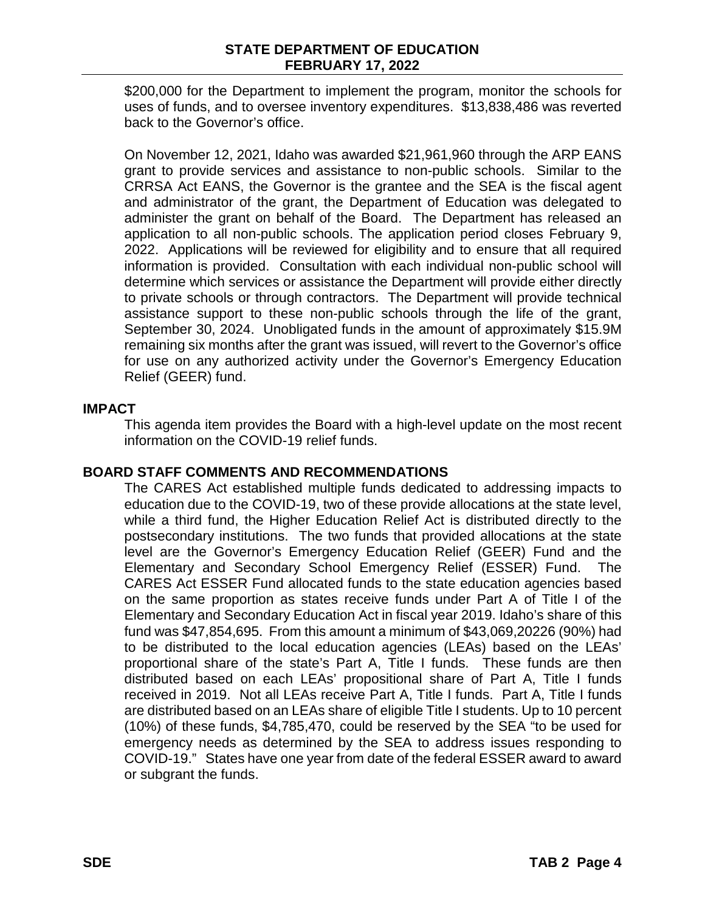\$200,000 for the Department to implement the program, monitor the schools for uses of funds, and to oversee inventory expenditures. \$13,838,486 was reverted back to the Governor's office.

On November 12, 2021, Idaho was awarded \$21,961,960 through the ARP EANS grant to provide services and assistance to non-public schools. Similar to the CRRSA Act EANS, the Governor is the grantee and the SEA is the fiscal agent and administrator of the grant, the Department of Education was delegated to administer the grant on behalf of the Board. The Department has released an application to all non-public schools. The application period closes February 9, 2022. Applications will be reviewed for eligibility and to ensure that all required information is provided. Consultation with each individual non-public school will determine which services or assistance the Department will provide either directly to private schools or through contractors. The Department will provide technical assistance support to these non-public schools through the life of the grant, September 30, 2024. Unobligated funds in the amount of approximately \$15.9M remaining six months after the grant was issued, will revert to the Governor's office for use on any authorized activity under the Governor's Emergency Education Relief (GEER) fund.

### **IMPACT**

This agenda item provides the Board with a high-level update on the most recent information on the COVID-19 relief funds.

### **BOARD STAFF COMMENTS AND RECOMMENDATIONS**

The CARES Act established multiple funds dedicated to addressing impacts to education due to the COVID-19, two of these provide allocations at the state level, while a third fund, the Higher Education Relief Act is distributed directly to the postsecondary institutions. The two funds that provided allocations at the state level are the Governor's Emergency Education Relief (GEER) Fund and the Elementary and Secondary School Emergency Relief (ESSER) Fund. The CARES Act ESSER Fund allocated funds to the state education agencies based on the same proportion as states receive funds under Part A of Title I of the Elementary and Secondary Education Act in fiscal year 2019. Idaho's share of this fund was \$47,854,695. From this amount a minimum of \$43,069,20226 (90%) had to be distributed to the local education agencies (LEAs) based on the LEAs' proportional share of the state's Part A, Title I funds. These funds are then distributed based on each LEAs' propositional share of Part A, Title I funds received in 2019. Not all LEAs receive Part A, Title I funds. Part A, Title I funds are distributed based on an LEAs share of eligible Title I students. Up to 10 percent (10%) of these funds, \$4,785,470, could be reserved by the SEA "to be used for emergency needs as determined by the SEA to address issues responding to COVID-19." States have one year from date of the federal ESSER award to award or subgrant the funds.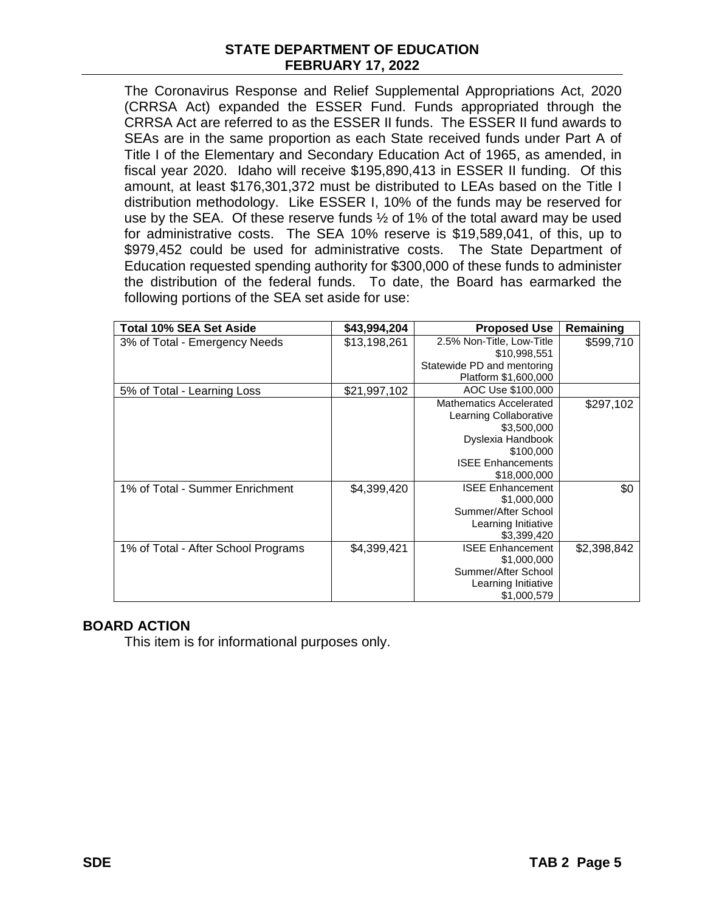The Coronavirus Response and Relief Supplemental Appropriations Act, 2020 (CRRSA Act) expanded the ESSER Fund. Funds appropriated through the CRRSA Act are referred to as the ESSER II funds. The ESSER II fund awards to SEAs are in the same proportion as each State received funds under Part A of Title I of the Elementary and Secondary Education Act of 1965, as amended, in fiscal year 2020. Idaho will receive \$195,890,413 in ESSER II funding. Of this amount, at least \$176,301,372 must be distributed to LEAs based on the Title I distribution methodology. Like ESSER I, 10% of the funds may be reserved for use by the SEA. Of these reserve funds ½ of 1% of the total award may be used for administrative costs. The SEA 10% reserve is \$19,589,041, of this, up to \$979,452 could be used for administrative costs. The State Department of Education requested spending authority for \$300,000 of these funds to administer the distribution of the federal funds. To date, the Board has earmarked the following portions of the SEA set aside for use:

| <b>Total 10% SEA Set Aside</b>      | \$43,994,204 | <b>Proposed Use</b>        | Remaining   |
|-------------------------------------|--------------|----------------------------|-------------|
| 3% of Total - Emergency Needs       | \$13,198,261 | 2.5% Non-Title, Low-Title  | \$599,710   |
|                                     |              | \$10,998,551               |             |
|                                     |              | Statewide PD and mentoring |             |
|                                     |              | Platform \$1,600,000       |             |
| 5% of Total - Learning Loss         | \$21,997,102 | AOC Use \$100,000          |             |
|                                     |              | Mathematics Accelerated    | \$297,102   |
|                                     |              | Learning Collaborative     |             |
|                                     |              | \$3,500,000                |             |
|                                     |              | Dyslexia Handbook          |             |
|                                     |              | \$100,000                  |             |
|                                     |              | <b>ISEE Enhancements</b>   |             |
|                                     |              | \$18,000,000               |             |
| 1% of Total - Summer Enrichment     | \$4,399,420  | <b>ISEE Enhancement</b>    | \$0         |
|                                     |              | \$1,000,000                |             |
|                                     |              | Summer/After School        |             |
|                                     |              | Learning Initiative        |             |
|                                     |              | \$3,399,420                |             |
| 1% of Total - After School Programs | \$4,399,421  | <b>ISEE Enhancement</b>    | \$2,398,842 |
|                                     |              | \$1,000,000                |             |
|                                     |              | Summer/After School        |             |
|                                     |              | Learning Initiative        |             |
|                                     |              | \$1,000,579                |             |

## **BOARD ACTION**

This item is for informational purposes only.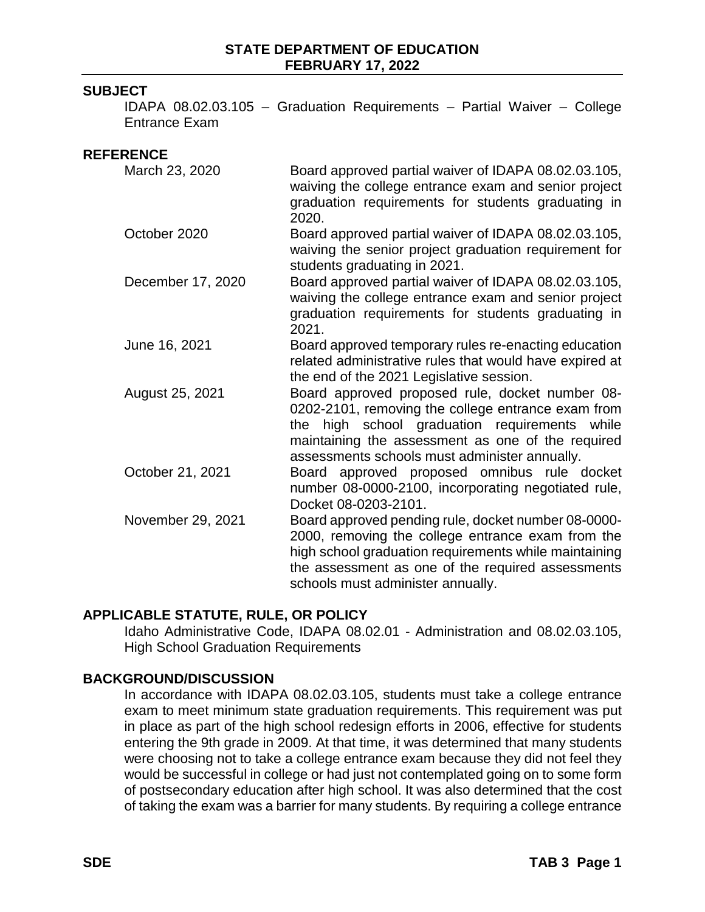### **SUBJECT**

IDAPA 08.02.03.105 – Graduation Requirements – Partial Waiver – College Entrance Exam

#### **REFERENCE**

| March 23, 2020    | Board approved partial waiver of IDAPA 08.02.03.105,<br>waiving the college entrance exam and senior project<br>graduation requirements for students graduating in<br>2020.                                                                                  |
|-------------------|--------------------------------------------------------------------------------------------------------------------------------------------------------------------------------------------------------------------------------------------------------------|
| October 2020      | Board approved partial waiver of IDAPA 08.02.03.105,<br>waiving the senior project graduation requirement for<br>students graduating in 2021.                                                                                                                |
| December 17, 2020 | Board approved partial waiver of IDAPA 08.02.03.105,<br>waiving the college entrance exam and senior project<br>graduation requirements for students graduating in<br>2021.                                                                                  |
| June 16, 2021     | Board approved temporary rules re-enacting education<br>related administrative rules that would have expired at<br>the end of the 2021 Legislative session.                                                                                                  |
| August 25, 2021   | Board approved proposed rule, docket number 08-<br>0202-2101, removing the college entrance exam from<br>the high school graduation requirements while<br>maintaining the assessment as one of the required<br>assessments schools must administer annually. |
| October 21, 2021  | Board approved proposed omnibus rule docket<br>number 08-0000-2100, incorporating negotiated rule,<br>Docket 08-0203-2101.                                                                                                                                   |
| November 29, 2021 | Board approved pending rule, docket number 08-0000-<br>2000, removing the college entrance exam from the<br>high school graduation requirements while maintaining<br>the assessment as one of the required assessments<br>schools must administer annually.  |

### **APPLICABLE STATUTE, RULE, OR POLICY**

Idaho Administrative Code, IDAPA 08.02.01 - Administration and 08.02.03.105, **High School Graduation Requirements** 

### **BACKGROUND/DISCUSSION**

In accordance with IDAPA 08.02.03.105, students must take a college entrance exam to meet minimum state graduation requirements. This requirement was put in place as part of the high school redesign efforts in 2006, effective for students entering the 9th grade in 2009. At that time, it was determined that many students were choosing not to take a college entrance exam because they did not feel they would be successful in college or had just not contemplated going on to some form of postsecondary education after high school. It was also determined that the cost of taking the exam was a barrier for many students. By requiring a college entrance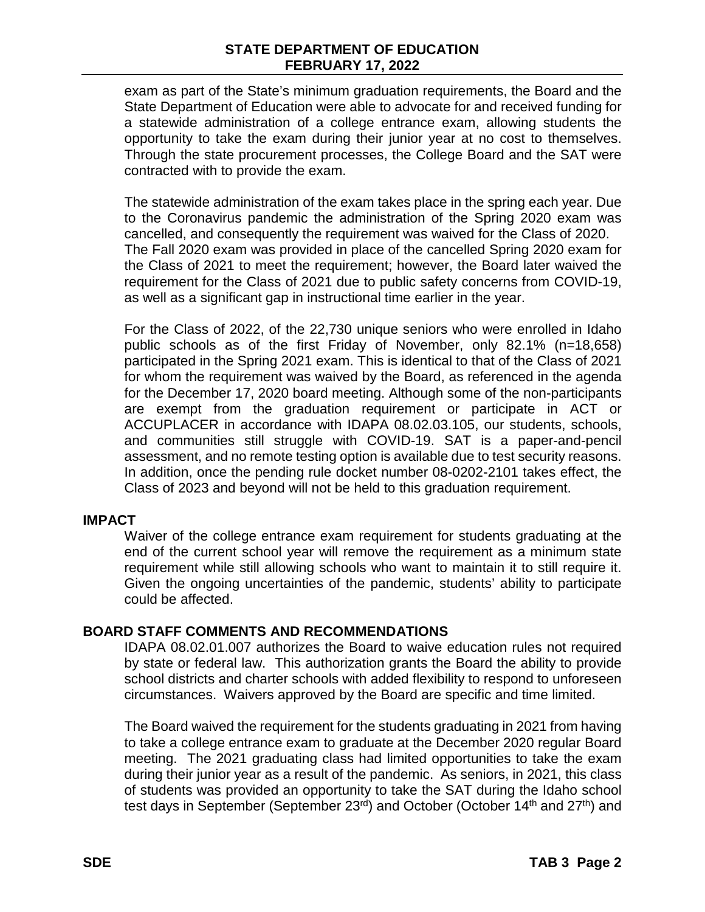### **STATE DEPARTMENT OF EDUCATION FEBRUARY 17, 2022**

exam as part of the State's minimum graduation requirements, the Board and the State Department of Education were able to advocate for and received funding for a statewide administration of a college entrance exam, allowing students the opportunity to take the exam during their junior year at no cost to themselves. Through the state procurement processes, the College Board and the SAT were contracted with to provide the exam.

The statewide administration of the exam takes place in the spring each year. Due to the Coronavirus pandemic the administration of the Spring 2020 exam was cancelled, and consequently the requirement was waived for the Class of 2020. The Fall 2020 exam was provided in place of the cancelled Spring 2020 exam for the Class of 2021 to meet the requirement; however, the Board later waived the requirement for the Class of 2021 due to public safety concerns from COVID-19, as well as a significant gap in instructional time earlier in the year.

For the Class of 2022, of the 22,730 unique seniors who were enrolled in Idaho public schools as of the first Friday of November, only 82.1% (n=18,658) participated in the Spring 2021 exam. This is identical to that of the Class of 2021 for whom the requirement was waived by the Board, as referenced in the agenda for the December 17, 2020 board meeting. Although some of the non-participants are exempt from the graduation requirement or participate in ACT or ACCUPLACER in accordance with IDAPA 08.02.03.105, our students, schools, and communities still struggle with COVID-19. SAT is a paper-and-pencil assessment, and no remote testing option is available due to test security reasons. In addition, once the pending rule docket number 08-0202-2101 takes effect, the Class of 2023 and beyond will not be held to this graduation requirement.

#### **IMPACT**

Waiver of the college entrance exam requirement for students graduating at the end of the current school year will remove the requirement as a minimum state requirement while still allowing schools who want to maintain it to still require it. Given the ongoing uncertainties of the pandemic, students' ability to participate could be affected.

#### **BOARD STAFF COMMENTS AND RECOMMENDATIONS**

IDAPA 08.02.01.007 authorizes the Board to waive education rules not required by state or federal law. This authorization grants the Board the ability to provide school districts and charter schools with added flexibility to respond to unforeseen circumstances. Waivers approved by the Board are specific and time limited.

The Board waived the requirement for the students graduating in 2021 from having to take a college entrance exam to graduate at the December 2020 regular Board meeting. The 2021 graduating class had limited opportunities to take the exam during their junior year as a result of the pandemic. As seniors, in 2021, this class of students was provided an opportunity to take the SAT during the Idaho school test days in September (September 23<sup>rd</sup>) and October (October 14<sup>th</sup> and 27<sup>th</sup>) and